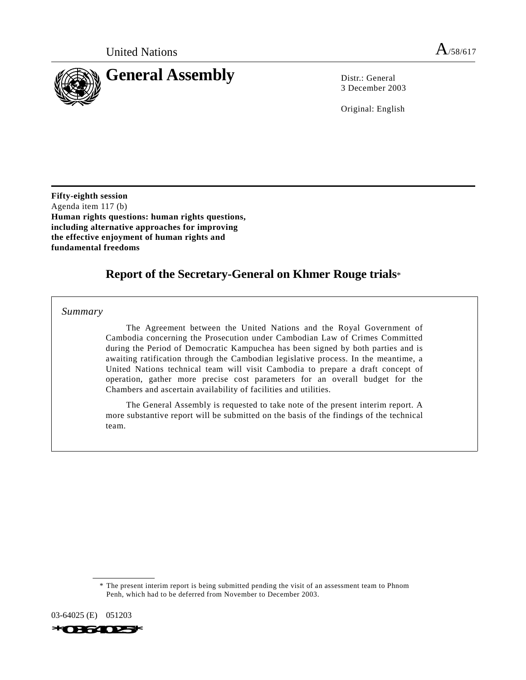

3 December 2003

Original: English

**Fifty-eighth session** Agenda item 117 (b) **Human rights questions: human rights questions, including alternative approaches for improving the effective enjoyment of human rights and fundamental freedoms**

# **Report of the Secretary-General on Khmer Rouge trials**\*

*Summary*

The Agreement between the United Nations and the Royal Government of Cambodia concerning the Prosecution under Cambodian Law of Crimes Committed during the Period of Democratic Kampuchea has been signed by both parties and is awaiting ratification through the Cambodian legislative process. In the meantime, a United Nations technical team will visit Cambodia to prepare a draft concept of operation, gather more precise cost parameters for an overall budget for the Chambers and ascertain availability of facilities and utilities.

The General Assembly is requested to take note of the present interim report. A more substantive report will be submitted on the basis of the findings of the technical team.

03-64025 (E) 051203

<sup>\*</sup> The present interim report is being submitted pending the visit of an assessment team to Phnom Penh, which had to be deferred from November to December 2003.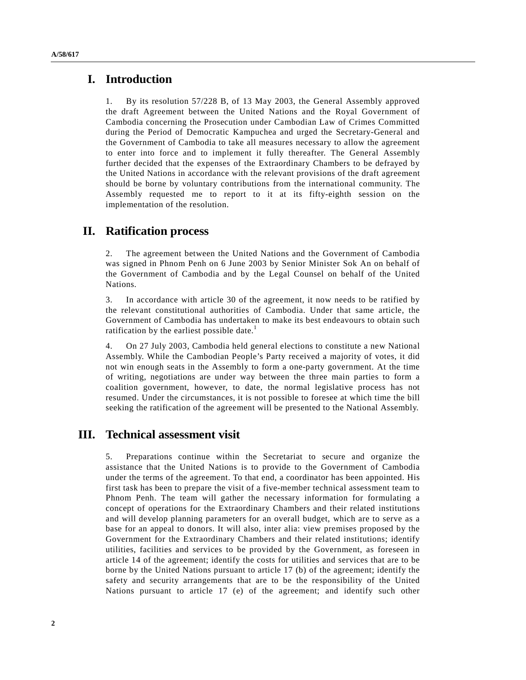1. By its resolution 57/228 B, of 13 May 2003, the General Assembly approved the draft Agreement between the United Nations and the Royal Government of Cambodia concerning the Prosecution under Cambodian Law of Crimes Committed during the Period of Democratic Kampuchea and urged the Secretary-General and the Government of Cambodia to take all measures necessary to allow the agreement to enter into force and to implement it fully thereafter. The General Assembly further decided that the expenses of the Extraordinary Chambers to be defrayed by the United Nations in accordance with the relevant provisions of the draft agreement should be borne by voluntary contributions from the international community. The Assembly requested me to report to it at its fifty-eighth session on the implementation of the resolution.

# **II. Ratification process**

2. The agreement between the United Nations and the Government of Cambodia was signed in Phnom Penh on 6 June 2003 by Senior Minister Sok An on behalf of the Government of Cambodia and by the Legal Counsel on behalf of the United Nations.

3. In accordance with article 30 of the agreement, it now needs to be ratified by the relevant constitutional authorities of Cambodia. Under that same article, the Government of Cambodia has undertaken to make its best endeavours to obtain such ratification by the earliest possible date.<sup>1</sup>

4. On 27 July 2003, Cambodia held general elections to constitute a new National Assembly. While the Cambodian People's Party received a majority of votes, it did not win enough seats in the Assembly to form a one-party government. At the time of writing, negotiations are under way between the three main parties to form a coalition government, however, to date, the normal legislative process has not resumed. Under the circumstances, it is not possible to foresee at which time the bill seeking the ratification of the agreement will be presented to the National Assembly.

### **III. Technical assessment visit**

5. Preparations continue within the Secretariat to secure and organize the assistance that the United Nations is to provide to the Government of Cambodia under the terms of the agreement. To that end, a coordinator has been appointed. His first task has been to prepare the visit of a five-member technical assessment team to Phnom Penh. The team will gather the necessary information for formulating a concept of operations for the Extraordinary Chambers and their related institutions and will develop planning parameters for an overall budget, which are to serve as a base for an appeal to donors. It will also, inter alia: view premises proposed by the Government for the Extraordinary Chambers and their related institutions; identify utilities, facilities and services to be provided by the Government, as foreseen in article 14 of the agreement; identify the costs for utilities and services that are to be borne by the United Nations pursuant to article 17 (b) of the agreement; identify the safety and security arrangements that are to be the responsibility of the United Nations pursuant to article 17 (e) of the agreement; and identify such other